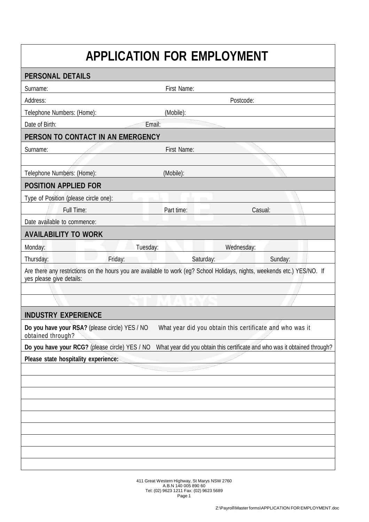## **APPLICATION FOR EMPLOYMENT**

| <b>PERSONAL DETAILS</b>                                                                                                                               |                       |  |  |  |
|-------------------------------------------------------------------------------------------------------------------------------------------------------|-----------------------|--|--|--|
| Surname:                                                                                                                                              | First Name:           |  |  |  |
| Address:                                                                                                                                              | Postcode:             |  |  |  |
| Telephone Numbers: (Home):                                                                                                                            | (Mobile):             |  |  |  |
| Date of Birth:<br>Email:                                                                                                                              |                       |  |  |  |
| PERSON TO CONTACT IN AN EMERGENCY                                                                                                                     |                       |  |  |  |
| Surname:                                                                                                                                              | First Name:           |  |  |  |
|                                                                                                                                                       |                       |  |  |  |
| Telephone Numbers: (Home):                                                                                                                            | (Mobile):             |  |  |  |
| <b>POSITION APPLIED FOR</b>                                                                                                                           |                       |  |  |  |
| Type of Position (please circle one):<br>m                                                                                                            |                       |  |  |  |
| Full Time:                                                                                                                                            | Part time:<br>Casual: |  |  |  |
| Date available to commence:                                                                                                                           |                       |  |  |  |
| <b>AVAILABILITY TO WORK</b>                                                                                                                           |                       |  |  |  |
| Tuesday:<br>Monday:                                                                                                                                   | Wednesday:            |  |  |  |
| Friday:<br>Thursday:                                                                                                                                  | Saturday:<br>Sunday:  |  |  |  |
| Are there any restrictions on the hours you are available to work (eg? School Holidays, nights, weekends etc.) YES/NO. If<br>yes please give details: |                       |  |  |  |
|                                                                                                                                                       |                       |  |  |  |
|                                                                                                                                                       |                       |  |  |  |
| <b>INDUSTRY EXPERIENCE</b>                                                                                                                            |                       |  |  |  |
| Do you have your RSA? (please circle) YES / NO<br>What year did you obtain this certificate and who was it<br>obtained through?                       |                       |  |  |  |
| Do you have your RCG? (please circle) YES / NO What year did you obtain this certificate and who was it obtained through?                             |                       |  |  |  |
| Please state hospitality experience:                                                                                                                  |                       |  |  |  |
|                                                                                                                                                       |                       |  |  |  |
|                                                                                                                                                       |                       |  |  |  |
|                                                                                                                                                       |                       |  |  |  |
|                                                                                                                                                       |                       |  |  |  |
|                                                                                                                                                       |                       |  |  |  |
|                                                                                                                                                       |                       |  |  |  |
|                                                                                                                                                       |                       |  |  |  |
|                                                                                                                                                       |                       |  |  |  |
|                                                                                                                                                       |                       |  |  |  |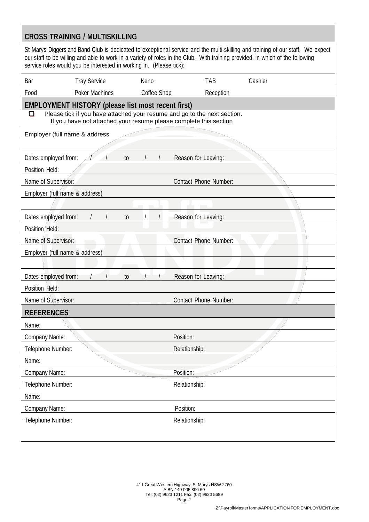| <b>CROSS TRAINING / MULTISKILLING</b>                                                                                                                                                                                                                                                                                                  |  |  |  |
|----------------------------------------------------------------------------------------------------------------------------------------------------------------------------------------------------------------------------------------------------------------------------------------------------------------------------------------|--|--|--|
| St Marys Diggers and Band Club is dedicated to exceptional service and the multi-skilling and training of our staff. We expect<br>our staff to be willing and able to work in a variety of roles in the Club. With training provided, in which of the following<br>service roles would you be interested in working in. (Please tick): |  |  |  |
| Bar<br><b>Tray Service</b><br>TAB<br>Cashier<br>Keno                                                                                                                                                                                                                                                                                   |  |  |  |
| <b>Poker Machines</b><br>Coffee Shop<br>Food<br>Reception                                                                                                                                                                                                                                                                              |  |  |  |
| <b>EMPLOYMENT HISTORY (please list most recent first)</b>                                                                                                                                                                                                                                                                              |  |  |  |
| Please tick if you have attached your resume and go to the next section.<br>If you have not attached your resume please complete this section                                                                                                                                                                                          |  |  |  |
| Employer (full name & address                                                                                                                                                                                                                                                                                                          |  |  |  |
|                                                                                                                                                                                                                                                                                                                                        |  |  |  |
| Dates employed from:<br>Reason for Leaving:<br>to                                                                                                                                                                                                                                                                                      |  |  |  |
| Position Held:                                                                                                                                                                                                                                                                                                                         |  |  |  |
| <b>Contact Phone Number:</b><br>Name of Supervisor:                                                                                                                                                                                                                                                                                    |  |  |  |
| Employer (full name & address)                                                                                                                                                                                                                                                                                                         |  |  |  |
|                                                                                                                                                                                                                                                                                                                                        |  |  |  |
| Dates employed from:<br>Reason for Leaving:<br>to                                                                                                                                                                                                                                                                                      |  |  |  |
| Position Held:                                                                                                                                                                                                                                                                                                                         |  |  |  |
| <b>Contact Phone Number:</b><br>Name of Supervisor:                                                                                                                                                                                                                                                                                    |  |  |  |
| Employer (full name & address)                                                                                                                                                                                                                                                                                                         |  |  |  |
|                                                                                                                                                                                                                                                                                                                                        |  |  |  |
| Dates employed from:<br>Reason for Leaving:<br>to                                                                                                                                                                                                                                                                                      |  |  |  |
| Position Held:                                                                                                                                                                                                                                                                                                                         |  |  |  |
| Name of Supervisor:<br><b>Contact Phone Number:</b>                                                                                                                                                                                                                                                                                    |  |  |  |
| <b>REFERENCES</b>                                                                                                                                                                                                                                                                                                                      |  |  |  |
| Name:                                                                                                                                                                                                                                                                                                                                  |  |  |  |
| Position:<br>Company Name:                                                                                                                                                                                                                                                                                                             |  |  |  |
| Telephone Number:<br>Relationship:                                                                                                                                                                                                                                                                                                     |  |  |  |
| Name:                                                                                                                                                                                                                                                                                                                                  |  |  |  |
| Company Name:<br>Position:                                                                                                                                                                                                                                                                                                             |  |  |  |
| Telephone Number:<br>Relationship:                                                                                                                                                                                                                                                                                                     |  |  |  |
| Name:                                                                                                                                                                                                                                                                                                                                  |  |  |  |
| Position:<br>Company Name:                                                                                                                                                                                                                                                                                                             |  |  |  |
| Telephone Number:<br>Relationship:                                                                                                                                                                                                                                                                                                     |  |  |  |
|                                                                                                                                                                                                                                                                                                                                        |  |  |  |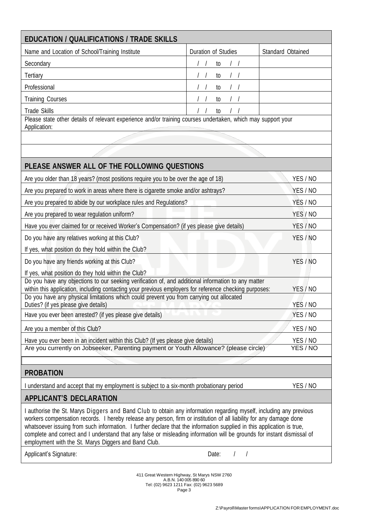| <b>EDUCATION / QUALIFICATIONS / TRADE SKILLS</b>                                                                                                                                                                                              |                     |                      |
|-----------------------------------------------------------------------------------------------------------------------------------------------------------------------------------------------------------------------------------------------|---------------------|----------------------|
| Name and Location of School/Training Institute                                                                                                                                                                                                | Duration of Studies | Standard Obtained    |
| Secondary                                                                                                                                                                                                                                     | to                  |                      |
| Tertiary                                                                                                                                                                                                                                      | to                  |                      |
| Professional                                                                                                                                                                                                                                  | to                  |                      |
| <b>Training Courses</b>                                                                                                                                                                                                                       | to                  |                      |
| <b>Trade Skills</b>                                                                                                                                                                                                                           | to                  |                      |
| Please state other details of relevant experience and/or training courses undertaken, which may support your<br>Application:                                                                                                                  |                     |                      |
|                                                                                                                                                                                                                                               |                     |                      |
|                                                                                                                                                                                                                                               |                     |                      |
|                                                                                                                                                                                                                                               |                     |                      |
| PLEASE ANSWER ALL OF THE FOLLOWING QUESTIONS                                                                                                                                                                                                  |                     |                      |
| Are you older than 18 years? (most positions require you to be over the age of 18)                                                                                                                                                            |                     | YES / NO             |
| Are you prepared to work in areas where there is cigarette smoke and/or ashtrays?                                                                                                                                                             |                     | YES / NO             |
| Are you prepared to abide by our workplace rules and Regulations?                                                                                                                                                                             |                     | YES / NO             |
| Are you prepared to wear regulation uniform?                                                                                                                                                                                                  |                     | YES / NO             |
| Have you ever claimed for or received Worker's Compensation? (if yes please give details)                                                                                                                                                     |                     | YES / NO             |
| Do you have any relatives working at this Club?                                                                                                                                                                                               |                     | YES / NO             |
| If yes, what position do they hold within the Club?                                                                                                                                                                                           |                     |                      |
| Do you have any friends working at this Club?                                                                                                                                                                                                 | YES / NO            |                      |
| If yes, what position do they hold within the Club?                                                                                                                                                                                           |                     |                      |
| Do you have any objections to our seeking verification of, and additional information to any matter<br>within this application, including contacting your previous employers for reference checking purposes:                                 |                     | YES / NO             |
| Do you have any physical limitations which could prevent you from carrying out allocated                                                                                                                                                      |                     |                      |
| Duties? (if yes please give details)                                                                                                                                                                                                          |                     | YES / NO             |
| Have you ever been arrested? (if yes please give details)                                                                                                                                                                                     |                     | YES / NO             |
| Are you a member of this Club?                                                                                                                                                                                                                |                     | YES / NO             |
| Have you ever been in an incident within this Club? (If yes please give details)<br>Are you currently on Jobseeker, Parenting payment or Youth Allowance? (please circle)                                                                     |                     | YES / NO<br>YES / NO |
|                                                                                                                                                                                                                                               |                     |                      |
| <b>PROBATION</b>                                                                                                                                                                                                                              |                     |                      |
| understand and accept that my employment is subject to a six-month probationary period                                                                                                                                                        |                     | YES / NO             |
| <b>APPLICANT'S DECLARATION</b>                                                                                                                                                                                                                |                     |                      |
| I authorise the St. Marys Diggers and Band Club to obtain any information regarding myself, including any previous                                                                                                                            |                     |                      |
| workers compensation records. I hereby release any person, firm or institution of all liability for any damage done<br>whatsoever issuing from such information. I further declare that the information supplied in this application is true, |                     |                      |

Applicant's Signature: The Contract of the Contract of the Date: The Contract of the Date: The Contract of the Date: The Contract of the Contract of the Contract of the Contract of the Contract of the Contract of the Contr

employment with the St. Marys Diggers and Band Club.

411 Great Western Highway, St Marys NSW 2760 A.B.N. 140 005 890 60 Tel: (02) 9623 1211 Fax: (02) 9623 5689 Page 3

complete and correct and I understand that any false or misleading information will be grounds for instant dismissal of